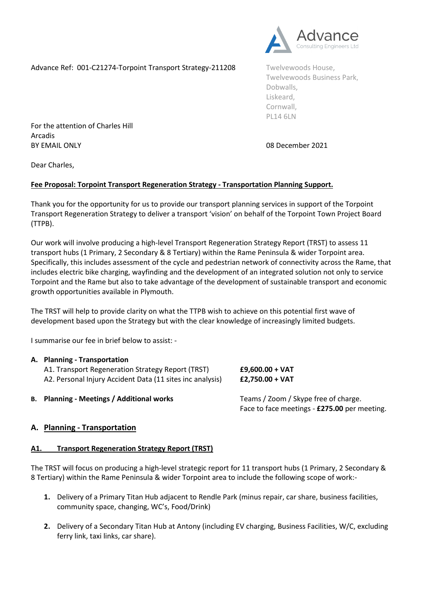Advance Ref: 001-C21274-Torpoint Transport Strategy-211208 Twelvewoods House,



Twelvewoods Business Park, Dobwalls, Liskeard, Cornwall, PL14 6LN

For the attention of Charles Hill Arcadis BY EMAIL ONLY **DEVELOPED ASSESSED ASSAULT** OR December 2021

Dear Charles,

## **Fee Proposal: Torpoint Transport Regeneration Strategy - Transportation Planning Support.**

Thank you for the opportunity for us to provide our transport planning services in support of the Torpoint Transport Regeneration Strategy to deliver a transport 'vision' on behalf of the Torpoint Town Project Board (TTPB).

Our work will involve producing a high-level Transport Regeneration Strategy Report (TRST) to assess 11 transport hubs (1 Primary, 2 Secondary & 8 Tertiary) within the Rame Peninsula & wider Torpoint area. Specifically, this includes assessment of the cycle and pedestrian network of connectivity across the Rame, that includes electric bike charging, wayfinding and the development of an integrated solution not only to service Torpoint and the Rame but also to take advantage of the development of sustainable transport and economic growth opportunities available in Plymouth.

The TRST will help to provide clarity on what the TTPB wish to achieve on this potential first wave of development based upon the Strategy but with the clear knowledge of increasingly limited budgets.

I summarise our fee in brief below to assist: -

| A. Planning - Transportation<br>A1. Transport Regeneration Strategy Report (TRST)<br>A2. Personal Injury Accident Data (11 sites inc analysis) | $£9,600.00 + VAT$<br>$£2,750.00 + VAT$                                               |
|------------------------------------------------------------------------------------------------------------------------------------------------|--------------------------------------------------------------------------------------|
| <b>B.</b> Planning - Meetings / Additional works                                                                                               | Teams / Zoom / Skype free of charge.<br>Face to face meetings - £275.00 per meeting. |

## **A. Planning - Transportation**

## **A1. Transport Regeneration Strategy Report (TRST)**

The TRST will focus on producing a high-level strategic report for 11 transport hubs (1 Primary, 2 Secondary & 8 Tertiary) within the Rame Peninsula & wider Torpoint area to include the following scope of work:-

- **1.** Delivery of a Primary Titan Hub adjacent to Rendle Park (minus repair, car share, business facilities, community space, changing, WC's, Food/Drink)
- **2.** Delivery of a Secondary Titan Hub at Antony (including EV charging, Business Facilities, W/C, excluding ferry link, taxi links, car share).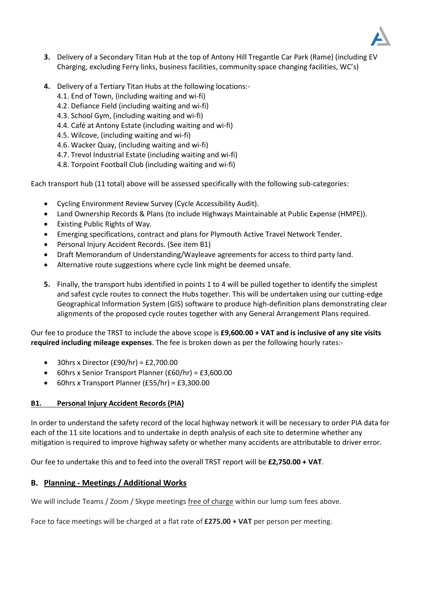

- **3.** Delivery of a Secondary Titan Hub at the top of Antony Hill Tregantle Car Park (Rame) (including EV Charging, excluding Ferry links, business facilities, community space changing facilities, WC's)
- **4.** Delivery of a Tertiary Titan Hubs at the following locations:-
	- 4.1. End of Town, (including waiting and wi-fi)
	- 4.2. Defiance Field (including waiting and wi-fi)
	- 4.3. School Gym, (including waiting and wi-fi)
	- 4.4. Café at Antony Estate (including waiting and wi-fi)
	- 4.5. Wilcove, (including waiting and wi-fi)
	- 4.6. Wacker Quay, (including waiting and wi-fi)
	- 4.7. Trevol Industrial Estate (including waiting and wi-fi)
	- 4.8. Torpoint Football Club (including waiting and wi-fi)

Each transport hub (11 total) above will be assessed specifically with the following sub-categories:

- Cycling Environment Review Survey (Cycle Accessibility Audit).
- Land Ownership Records & Plans (to include Highways Maintainable at Public Expense (HMPE)).
- Existing Public Rights of Way.
- Emerging specifications, contract and plans for Plymouth Active Travel Network Tender.
- Personal Injury Accident Records. (See item B1)
- Draft Memorandum of Understanding/Wayleave agreements for access to third party land.
- Alternative route suggestions where cycle link might be deemed unsafe.
- **5.** Finally, the transport hubs identified in points 1 to 4 will be pulled together to identify the simplest and safest cycle routes to connect the Hubs together. This will be undertaken using our cutting-edge Geographical Information System (GIS) software to produce high-definition plans demonstrating clear alignments of the proposed cycle routes together with any General Arrangement Plans required.

Our fee to produce the TRST to include the above scope is **£9,600.00 + VAT and is inclusive of any site visits required including mileage expenses**. The fee is broken down as per the following hourly rates:-

- $\bullet$  30hrs x Director (£90/hr) = £2,700.00
- 60hrs x Senior Transport Planner (£60/hr) = £3,600.00
- 60hrs x Transport Planner (£55/hr) = £3,300.00

## **B1. Personal Injury Accident Records (PIA)**

In order to understand the safety record of the local highway network it will be necessary to order PIA data for each of the 11 site locations and to undertake in depth analysis of each site to determine whether any mitigation is required to improve highway safety or whether many accidents are attributable to driver error.

Our fee to undertake this and to feed into the overall TRST report will be **£2,750.00 + VAT**.

# **B. Planning - Meetings / Additional Works**

We will include Teams / Zoom / Skype meetings free of charge within our lump sum fees above.

Face to face meetings will be charged at a flat rate of **£275.00 + VAT** per person per meeting.